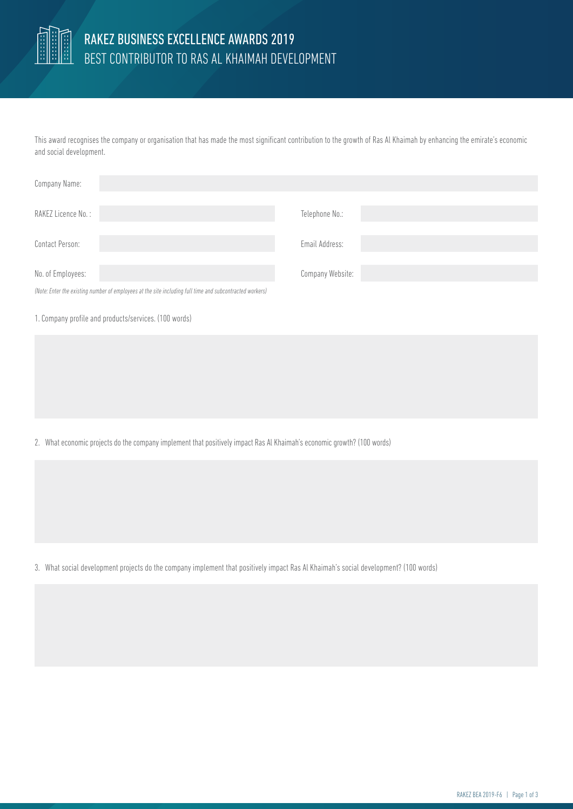

## RAKEZ BUSINESS EXCELLENCE AWARDS 2019 BEST CONTRIBUTOR TO RAS AL KHAIMAH DEVELOPMENT

This award recognises the company or organisation that has made the most significant contribution to the growth of Ras Al Khaimah by enhancing the emirate's economic and social development.

| Company Name:                                                                                            |                  |
|----------------------------------------------------------------------------------------------------------|------------------|
| RAKEZ Licence No.:                                                                                       | Telephone No.:   |
| Contact Person:                                                                                          | Email Address:   |
| No. of Employees:                                                                                        | Company Website: |
| (Note: Enter the existing number of employees at the site including full time and subcontracted workers) |                  |

1. Company profile and products/services. (100 words)

2. What economic projects do the company implement that positively impact Ras Al Khaimah's economic growth? (100 words)

3. What social development projects do the company implement that positively impact Ras Al Khaimah's social development? (100 words)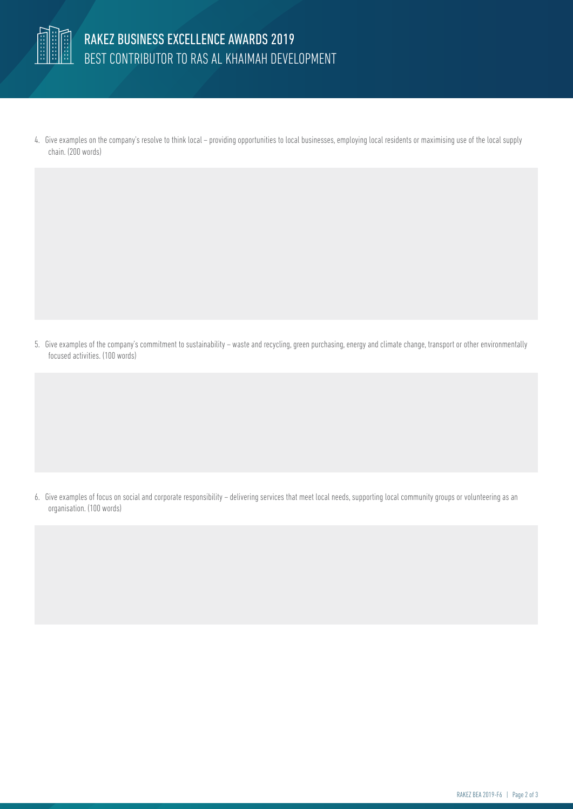

4. Give examples on the company's resolve to think local – providing opportunities to local businesses, employing local residents or maximising use of the local supply chain. (200 words)

5. Give examples of the company's commitment to sustainability – waste and recycling, green purchasing, energy and climate change, transport or other environmentally focused activities. (100 words)

6. Give examples of focus on social and corporate responsibility – delivering services that meet local needs, supporting local community groups or volunteering as an organisation. (100 words)